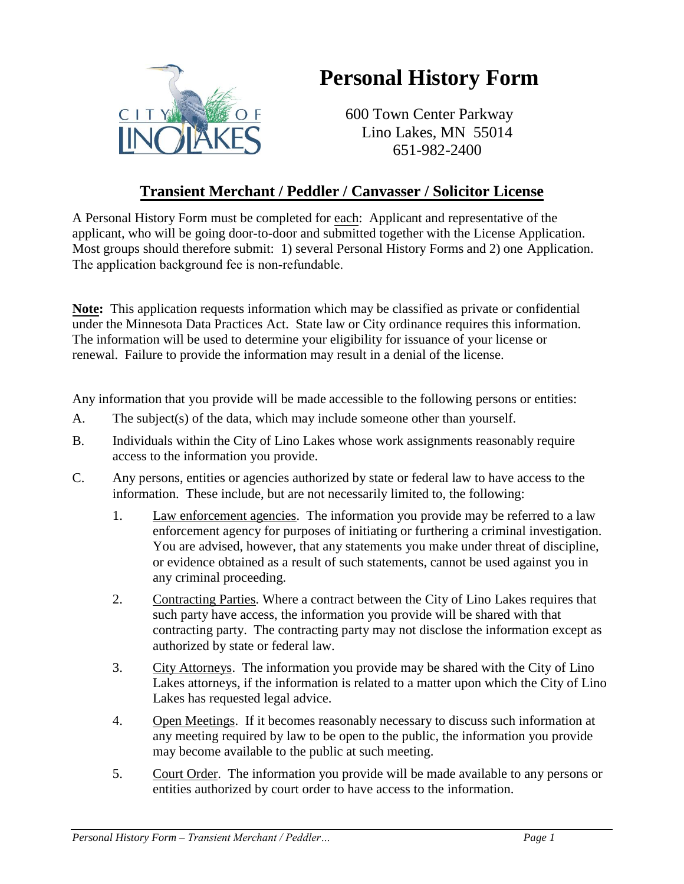

## **Personal History Form**

600 Town Center Parkway Lino Lakes, MN 55014 651-982-2400

## **Transient Merchant / Peddler / Canvasser / Solicitor License**

A Personal History Form must be completed for each: Applicant and representative of the applicant, who will be going door-to-door and submitted together with the License Application. Most groups should therefore submit: 1) several Personal History Forms and 2) one Application. The application background fee is non-refundable.

**Note:** This application requests information which may be classified as private or confidential under the Minnesota Data Practices Act. State law or City ordinance requires this information. The information will be used to determine your eligibility for issuance of your license or renewal. Failure to provide the information may result in a denial of the license.

Any information that you provide will be made accessible to the following persons or entities:

- A. The subject(s) of the data, which may include someone other than yourself.
- B. Individuals within the City of Lino Lakes whose work assignments reasonably require access to the information you provide.
- C. Any persons, entities or agencies authorized by state or federal law to have access to the information. These include, but are not necessarily limited to, the following:
	- 1. Law enforcement agencies. The information you provide may be referred to a law enforcement agency for purposes of initiating or furthering a criminal investigation. You are advised, however, that any statements you make under threat of discipline, or evidence obtained as a result of such statements, cannot be used against you in any criminal proceeding.
	- 2. Contracting Parties. Where a contract between the City of Lino Lakes requires that such party have access, the information you provide will be shared with that contracting party. The contracting party may not disclose the information except as authorized by state or federal law.
	- 3. City Attorneys. The information you provide may be shared with the City of Lino Lakes attorneys, if the information is related to a matter upon which the City of Lino Lakes has requested legal advice.
	- 4. Open Meetings. If it becomes reasonably necessary to discuss such information at any meeting required by law to be open to the public, the information you provide may become available to the public at such meeting.
	- 5. Court Order. The information you provide will be made available to any persons or entities authorized by court order to have access to the information.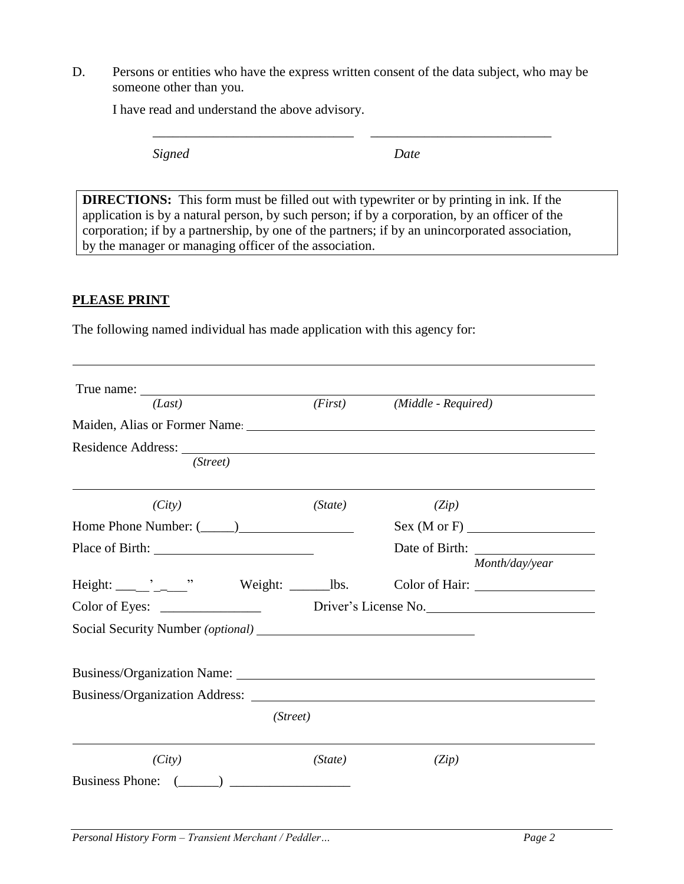D. Persons or entities who have the express written consent of the data subject, who may be someone other than you.

\_\_\_\_\_\_\_\_\_\_\_\_\_\_\_\_\_\_\_\_\_\_\_\_\_\_\_\_\_\_ \_\_\_\_\_\_\_\_\_\_\_\_\_\_\_\_\_\_\_\_\_\_\_\_\_\_\_

I have read and understand the above advisory.

*Signed Date*

**DIRECTIONS:** This form must be filled out with typewriter or by printing in ink. If the application is by a natural person, by such person; if by a corporation, by an officer of the corporation; if by a partnership, by one of the partners; if by an unincorporated association, by the manager or managing officer of the association.

## **PLEASE PRINT**

The following named individual has made application with this agency for:

| True name:<br>(Last)                                                                                                                                                                                                                                                                                                                                                          |          | (First) (Middle - Required) |  |
|-------------------------------------------------------------------------------------------------------------------------------------------------------------------------------------------------------------------------------------------------------------------------------------------------------------------------------------------------------------------------------|----------|-----------------------------|--|
| Maiden, Alias or Former Name: 1988 and 1988 and 1988 and 1988 and 1988 and 1988 and 1988 and 1988 and 1988 and 1988 and 1988 and 1988 and 1988 and 1988 and 1988 and 1988 and 1988 and 1988 and 1988 and 1988 and 1988 and 198                                                                                                                                                |          |                             |  |
| Residence Address: Universe of the Second Second Second Second Second Second Second Second Second Second Second Second Second Second Second Second Second Second Second Second Second Second Second Second Second Second Secon<br>(Street)                                                                                                                                    |          |                             |  |
| (City)                                                                                                                                                                                                                                                                                                                                                                        | (State)  | (Zip)                       |  |
|                                                                                                                                                                                                                                                                                                                                                                               |          | Sex(M or F)                 |  |
|                                                                                                                                                                                                                                                                                                                                                                               |          | Month/day/year              |  |
|                                                                                                                                                                                                                                                                                                                                                                               |          |                             |  |
|                                                                                                                                                                                                                                                                                                                                                                               |          |                             |  |
|                                                                                                                                                                                                                                                                                                                                                                               |          |                             |  |
|                                                                                                                                                                                                                                                                                                                                                                               |          |                             |  |
|                                                                                                                                                                                                                                                                                                                                                                               |          |                             |  |
|                                                                                                                                                                                                                                                                                                                                                                               | (Street) |                             |  |
| (City)                                                                                                                                                                                                                                                                                                                                                                        | (State)  | (Zip)                       |  |
| $\begin{picture}(20,10) \put(0,0){\line(1,0){10}} \put(15,0){\line(1,0){10}} \put(15,0){\line(1,0){10}} \put(15,0){\line(1,0){10}} \put(15,0){\line(1,0){10}} \put(15,0){\line(1,0){10}} \put(15,0){\line(1,0){10}} \put(15,0){\line(1,0){10}} \put(15,0){\line(1,0){10}} \put(15,0){\line(1,0){10}} \put(15,0){\line(1,0){10}} \put(15,0){\line(1$<br><b>Business Phone:</b> |          |                             |  |